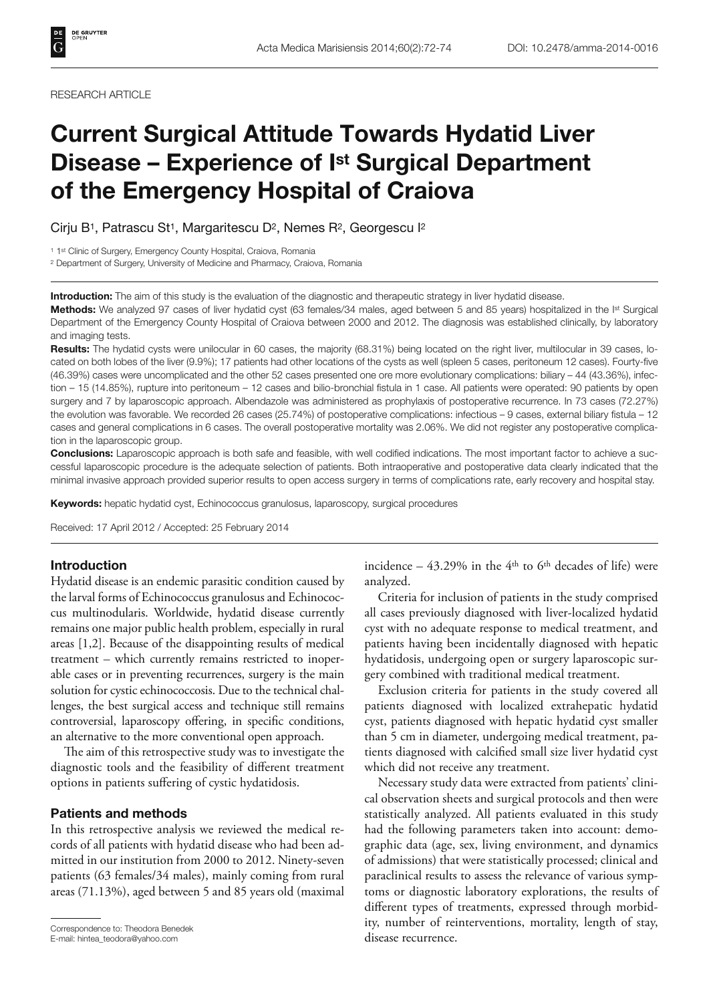#### RESEARCH ARTICLE

# **Current Surgical Attitude Towards Hydatid Liver Disease – Experience of Ist Surgical Department of the Emergency Hospital of Craiova**

Cirju B<sup>1</sup>, Patrascu St<sup>1</sup>, Margaritescu D<sup>2</sup>, Nemes R<sup>2</sup>, Georgescu I<sup>2</sup>

<sup>1</sup> 1<sup>st</sup> Clinic of Surgery, Emergency County Hospital, Craiova, Romania

2 Department of Surgery, University of Medicine and Pharmacy, Craiova, Romania

**Introduction:** The aim of this study is the evaluation of the diagnostic and therapeutic strategy in liver hydatid disease.

**Methods:** We analyzed 97 cases of liver hydatid cyst (63 females/34 males, aged between 5 and 85 years) hospitalized in the Ist Surgical Department of the Emergency County Hospital of Craiova between 2000 and 2012. The diagnosis was established clinically, by laboratory and imaging tests.

**Results:** The hydatid cysts were unilocular in 60 cases, the majority (68.31%) being located on the right liver, multilocular in 39 cases, located on both lobes of the liver (9.9%); 17 patients had other locations of the cysts as well (spleen 5 cases, peritoneum 12 cases). Fourty-five (46.39%) cases were uncomplicated and the other 52 cases presented one ore more evolutionary complications: biliary – 44 (43.36%), infection – 15 (14.85%), rupture into peritoneum – 12 cases and bilio-bronchial fistula in 1 case. All patients were operated: 90 patients by open surgery and 7 by laparoscopic approach. Albendazole was administered as prophylaxis of postoperative recurrence. In 73 cases (72.27%) the evolution was favorable. We recorded 26 cases (25.74%) of postoperative complications: infectious – 9 cases, external biliary fistula – 12 cases and general complications in 6 cases. The overall postoperative mortality was 2.06%. We did not register any postoperative complication in the laparoscopic group.

**Conclusions:** Laparoscopic approach is both safe and feasible, with well codified indications. The most important factor to achieve a successful laparoscopic procedure is the adequate selection of patients. Both intraoperative and postoperative data clearly indicated that the minimal invasive approach provided superior results to open access surgery in terms of complications rate, early recovery and hospital stay.

**Keywords:** hepatic hydatid cyst, Echinococcus granulosus, laparoscopy, surgical procedures

Received: 17 April 2012 / Accepted: 25 February 2014

## **Introduction**

Hydatid disease is an endemic parasitic condition caused by the larval forms of Echinococcus granulosus and Echinococcus multinodularis. Worldwide, hydatid disease currently remains one major public health problem, especially in rural areas [1,2]. Because of the disappointing results of medical treatment – which currently remains restricted to inoperable cases or in preventing recurrences, surgery is the main solution for cystic echinococcosis. Due to the technical challenges, the best surgical access and technique still remains controversial, laparoscopy offering, in specific conditions, an alternative to the more conventional open approach.

The aim of this retrospective study was to investigate the diagnostic tools and the feasibility of different treatment options in patients suffering of cystic hydatidosis.

# **Patients and methods**

In this retrospective analysis we reviewed the medical records of all patients with hydatid disease who had been admitted in our institution from 2000 to 2012. Ninety-seven patients (63 females/34 males), mainly coming from rural areas (71.13%), aged between 5 and 85 years old (maximal incidence  $-43.29\%$  in the 4<sup>th</sup> to 6<sup>th</sup> decades of life) were analyzed.

Criteria for inclusion of patients in the study comprised all cases previously diagnosed with liver-localized hydatid cyst with no adequate response to medical treatment, and patients having been incidentally diagnosed with hepatic hydatidosis, undergoing open or surgery laparoscopic surgery combined with traditional medical treatment.

Exclusion criteria for patients in the study covered all patients diagnosed with localized extrahepatic hydatid cyst, patients diagnosed with hepatic hydatid cyst smaller than 5 cm in diameter, undergoing medical treatment, patients diagnosed with calcified small size liver hydatid cyst which did not receive any treatment.

Necessary study data were extracted from patients' clinical observation sheets and surgical protocols and then were statistically analyzed. All patients evaluated in this study had the following parameters taken into account: demographic data (age, sex, living environment, and dynamics of admissions) that were statistically processed; clinical and paraclinical results to assess the relevance of various symptoms or diagnostic laboratory explorations, the results of different types of treatments, expressed through morbidity, number of reinterventions, mortality, length of stay, disease recurrence. Correspondence to: Theodora Benedek E-mail: hintea\_teodora@yahoo.com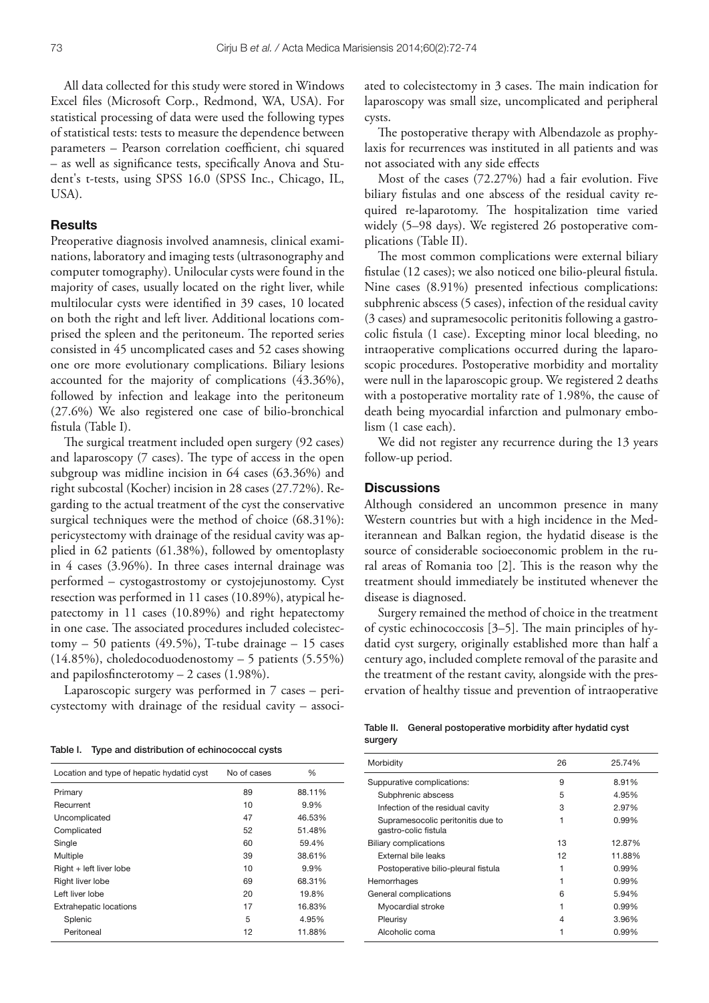All data collected for this study were stored in Windows Excel files (Microsoft Corp., Redmond, WA, USA). For statistical processing of data were used the following types of statistical tests: tests to measure the dependence between parameters - Pearson correlation coefficient, chi squared – as well as significance tests, specifically Anova and Student's t-tests, using SPSS 16.0 (SPSS Inc., Chicago, IL, USA).

### **Results**

Preoperative diagnosis involved anamnesis, clinical examinations, laboratory and imaging tests (ultrasonography and computer tomography). Unilocular cysts were found in the majority of cases, usually located on the right liver, while multilocular cysts were identified in 39 cases, 10 located on both the right and left liver. Additional locations comprised the spleen and the peritoneum. The reported series consisted in 45 uncomplicated cases and 52 cases showing one ore more evolutionary complications. Biliary lesions accounted for the majority of complications (43.36%), followed by infection and leakage into the peritoneum (27.6%) We also registered one case of bilio-bronchical fistula (Table I).

The surgical treatment included open surgery (92 cases) and laparoscopy (7 cases). The type of access in the open subgroup was midline incision in 64 cases (63.36%) and right subcostal (Kocher) incision in 28 cases (27.72%). Regarding to the actual treatment of the cyst the conservative surgical techniques were the method of choice (68.31%): pericystectomy with drainage of the residual cavity was applied in 62 patients (61.38%), followed by omentoplasty in 4 cases (3.96%). In three cases internal drainage was performed – cystogastrostomy or cystojejunostomy. Cyst resection was performed in 11 cases (10.89%), atypical hepatectomy in 11 cases (10.89%) and right hepatectomy in one case. The associated procedures included colecistectomy – 50 patients (49.5%), T-tube drainage – 15 cases (14.85%), choledocoduodenostomy – 5 patients (5.55%) and papilosfincterotomy  $-2$  cases (1.98%).

Laparoscopic surgery was performed in 7 cases – pericystectomy with drainage of the residual cavity – associ-

Table I. Type and distribution of echinococcal cysts

ated to colecistectomy in 3 cases. The main indication for laparoscopy was small size, uncomplicated and peripheral cysts.

The postoperative therapy with Albendazole as prophylaxis for recurrences was instituted in all patients and was not associated with any side effects

Most of the cases (72.27%) had a fair evolution. Five biliary fistulas and one abscess of the residual cavity required re-laparotomy. The hospitalization time varied widely (5–98 days). We registered 26 postoperative complications (Table II).

The most common complications were external biliary fistulae (12 cases); we also noticed one bilio-pleural fistula. Nine cases (8.91%) presented infectious complications: subphrenic abscess (5 cases), infection of the residual cavity (3 cases) and supramesocolic peritonitis following a gastrocolic fistula (1 case). Excepting minor local bleeding, no intraoperative complications occurred during the laparoscopic procedures. Postoperative morbidity and mortality were null in the laparoscopic group. We registered 2 deaths with a postoperative mortality rate of 1.98%, the cause of death being myocardial infarction and pulmonary embolism (1 case each).

We did not register any recurrence during the 13 years follow-up period.

# **Discussions**

Although considered an uncommon presence in many Western countries but with a high incidence in the Mediterannean and Balkan region, the hydatid disease is the source of considerable socioeconomic problem in the rural areas of Romania too [2]. This is the reason why the treatment should immediately be instituted whenever the disease is diagnosed.

Surgery remained the method of choice in the treatment of cystic echinococcosis  $[3-5]$ . The main principles of hydatid cyst surgery, originally established more than half a century ago, included complete removal of the parasite and the treatment of the restant cavity, alongside with the preservation of healthy tissue and prevention of intraoperative

|         | Table II. General postoperative morbidity after hydatid cyst |
|---------|--------------------------------------------------------------|
| surgery |                                                              |

| Location and type of hepatic hydatid cyst | No of cases | %      |
|-------------------------------------------|-------------|--------|
| Primary                                   | 89          | 88.11% |
| Recurrent                                 | 10          | 9.9%   |
| Uncomplicated                             | 47          | 46.53% |
| Complicated                               | 52          | 51.48% |
| Single                                    | 60          | 59.4%  |
| Multiple                                  | 39          | 38.61% |
| Right + left liver lobe                   | 10          | 9.9%   |
| Right liver lobe                          | 69          | 68.31% |
| Left liver lobe                           | 20          | 19.8%  |
| <b>Extrahepatic locations</b>             | 17          | 16.83% |
| Splenic                                   | 5           | 4.95%  |
| Peritoneal                                | 12          | 11.88% |
|                                           |             |        |

| Morbidity                                                 | 26 | 25.74%   |
|-----------------------------------------------------------|----|----------|
| Suppurative complications:                                | 9  | 8.91%    |
| Subphrenic abscess                                        | 5  | 4.95%    |
| Infection of the residual cavity                          | 3  | 2.97%    |
| Supramesocolic peritonitis due to<br>gastro-colic fistula |    | $0.99\%$ |
| <b>Biliary complications</b>                              | 13 | 12.87%   |
| External bile leaks                                       | 12 | 11.88%   |
| Postoperative bilio-pleural fistula                       | 1  | $0.99\%$ |
| Hemorrhages                                               |    | $0.99\%$ |
| General complications                                     | 6  | 5.94%    |
| Myocardial stroke                                         |    | $0.99\%$ |
| Pleurisy                                                  | 4  | 3.96%    |
| Alcoholic coma                                            |    | 0.99%    |